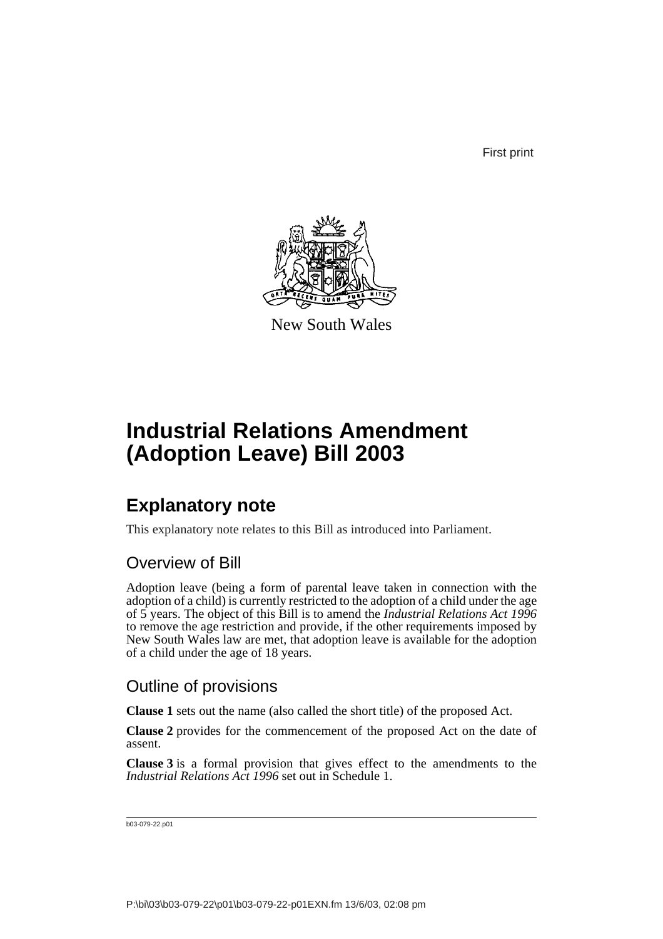First print



New South Wales

# **Industrial Relations Amendment (Adoption Leave) Bill 2003**

## **Explanatory note**

This explanatory note relates to this Bill as introduced into Parliament.

### Overview of Bill

Adoption leave (being a form of parental leave taken in connection with the adoption of a child) is currently restricted to the adoption of a child under the age of 5 years. The object of this Bill is to amend the *Industrial Relations Act 1996* to remove the age restriction and provide, if the other requirements imposed by New South Wales law are met, that adoption leave is available for the adoption of a child under the age of 18 years.

### Outline of provisions

**Clause 1** sets out the name (also called the short title) of the proposed Act.

**Clause 2** provides for the commencement of the proposed Act on the date of assent.

**Clause 3** is a formal provision that gives effect to the amendments to the *Industrial Relations Act 1996* set out in Schedule 1.

```
b03-079-22.p01
```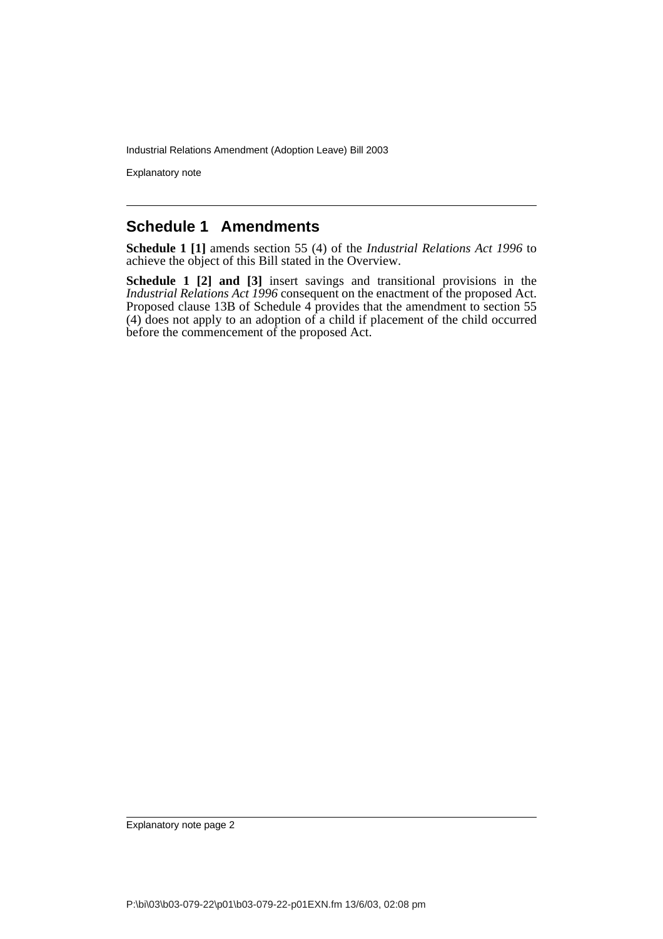Industrial Relations Amendment (Adoption Leave) Bill 2003

Explanatory note

#### **Schedule 1 Amendments**

**Schedule 1 [1]** amends section 55 (4) of the *Industrial Relations Act 1996* to achieve the object of this Bill stated in the Overview.

**Schedule 1 [2] and [3]** insert savings and transitional provisions in the *Industrial Relations Act 1996* consequent on the enactment of the proposed Act. Proposed clause 13B of Schedule 4 provides that the amendment to section 55 (4) does not apply to an adoption of a child if placement of the child occurred before the commencement of the proposed Act.

Explanatory note page 2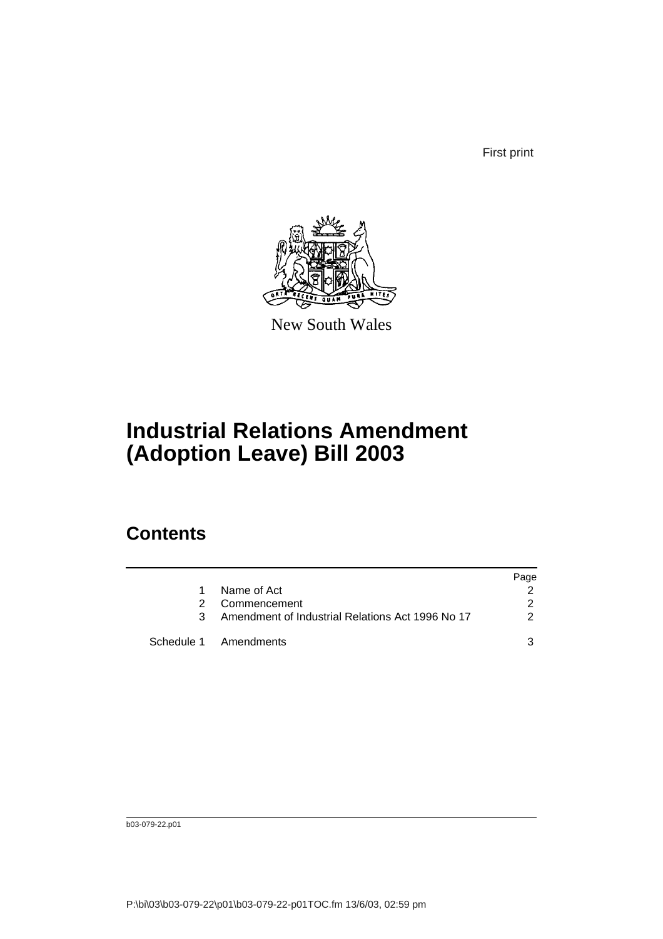First print



New South Wales

# **Industrial Relations Amendment (Adoption Leave) Bill 2003**

### **Contents**

|   |                                                  | Page          |
|---|--------------------------------------------------|---------------|
|   | Name of Act                                      |               |
| 2 | Commencement                                     | $\mathcal{P}$ |
| 3 | Amendment of Industrial Relations Act 1996 No 17 | 2             |
|   | Schedule 1 Amendments                            |               |

b03-079-22.p01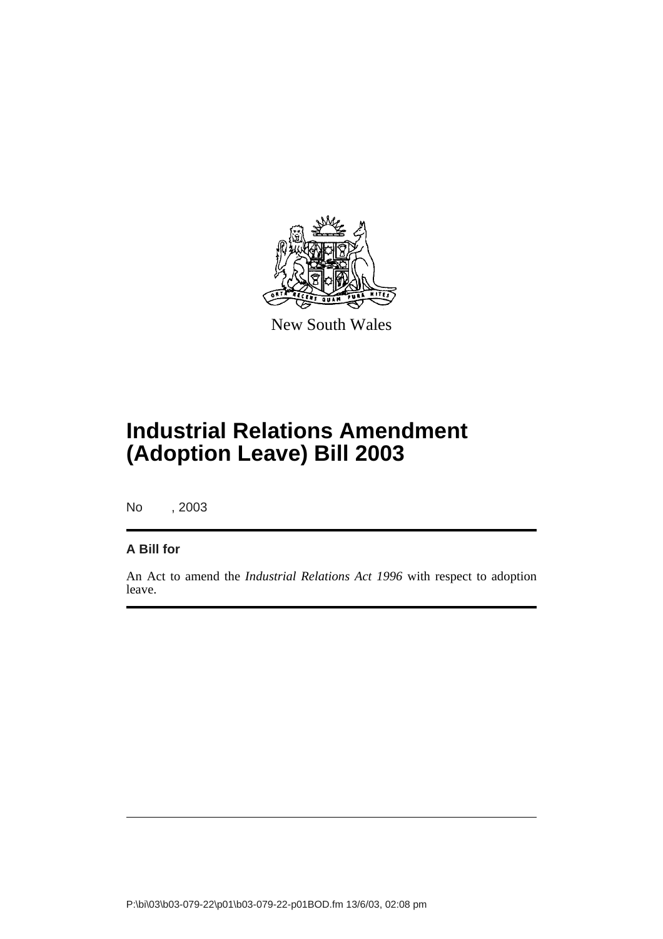

New South Wales

# **Industrial Relations Amendment (Adoption Leave) Bill 2003**

No , 2003

#### **A Bill for**

An Act to amend the *Industrial Relations Act 1996* with respect to adoption leave.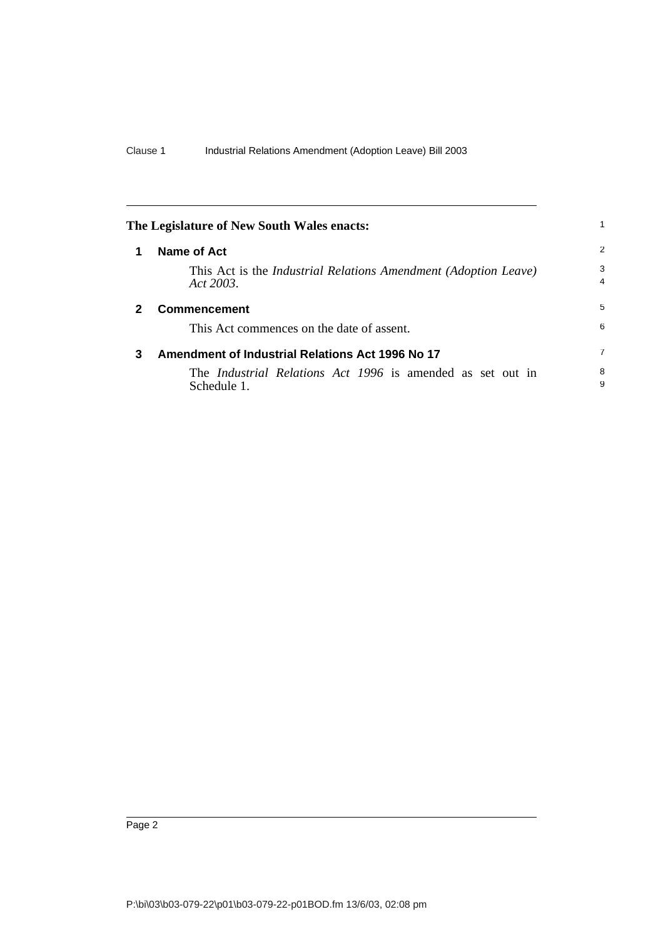<span id="page-4-2"></span><span id="page-4-1"></span><span id="page-4-0"></span>

|   | The Legislature of New South Wales enacts:                                             | 1              |
|---|----------------------------------------------------------------------------------------|----------------|
|   | Name of Act                                                                            | 2              |
|   | This Act is the <i>Industrial Relations Amendment (Adoption Leave)</i><br>Act $2003$ . | 3<br>4         |
| 2 | <b>Commencement</b>                                                                    | 5              |
|   | This Act commences on the date of assent.                                              | 6              |
| 3 | Amendment of Industrial Relations Act 1996 No 17                                       | $\overline{7}$ |
|   | The <i>Industrial Relations Act 1996</i> is amended as set out in<br>Schedule 1.       | 8<br>9         |